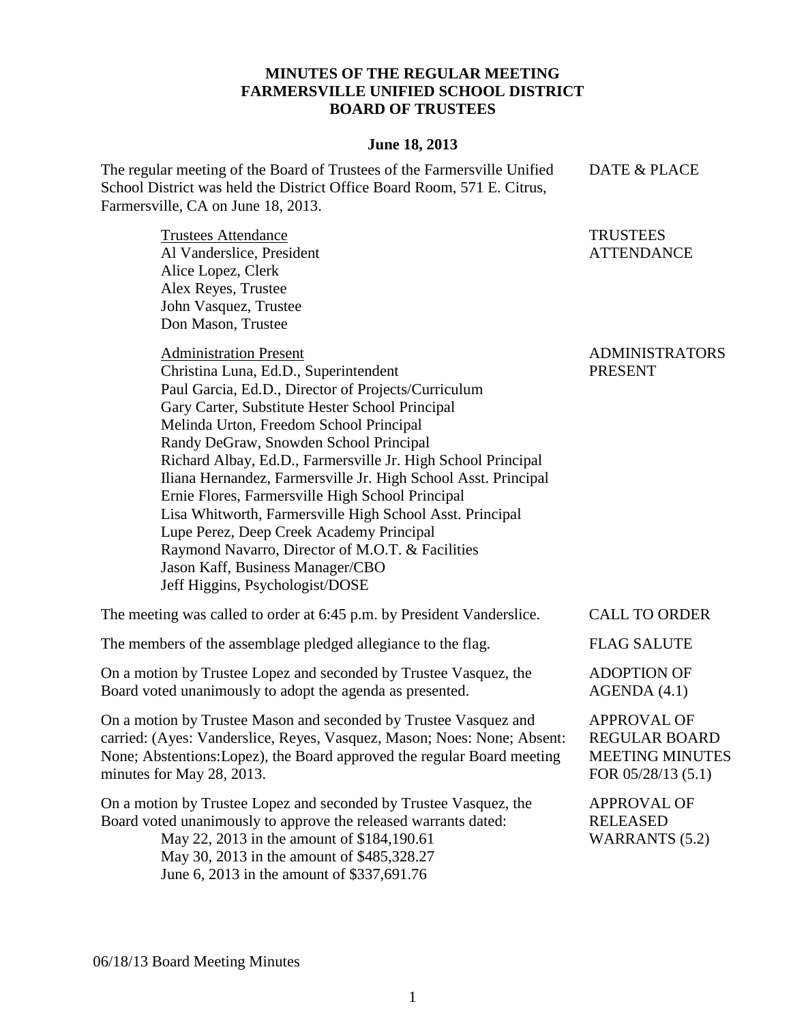## **MINUTES OF THE REGULAR MEETING FARMERSVILLE UNIFIED SCHOOL DISTRICT BOARD OF TRUSTEES**

## **June 18, 2013**

The regular meeting of the Board of Trustees of the Farmersville Unified School District was held the District Office Board Room, 571 E. Citrus, Farmersville, CA on June 18, 2013. DATE & PLACE

Trustees Attendance Al Vanderslice, President Alice Lopez, Clerk Alex Reyes, Trustee John Vasquez, Trustee Don Mason, Trustee

Administration Present

Christina Luna, Ed.D., Superintendent Paul Garcia, Ed.D., Director of Projects/Curriculum Gary Carter, Substitute Hester School Principal Melinda Urton, Freedom School Principal Randy DeGraw, Snowden School Principal Richard Albay, Ed.D., Farmersville Jr. High School Principal Iliana Hernandez, Farmersville Jr. High School Asst. Principal Ernie Flores, Farmersville High School Principal Lisa Whitworth, Farmersville High School Asst. Principal Lupe Perez, Deep Creek Academy Principal Raymond Navarro, Director of M.O.T. & Facilities Jason Kaff, Business Manager/CBO Jeff Higgins, Psychologist/DOSE

The meeting was called to order at 6:45 p.m. by President Vanderslice. CALL TO ORDER

The members of the assemblage pledged allegiance to the flag. FLAG SALUTE

On a motion by Trustee Lopez and seconded by Trustee Vasquez, the Board voted unanimously to adopt the agenda as presented.

On a motion by Trustee Mason and seconded by Trustee Vasquez and carried: (Ayes: Vanderslice, Reyes, Vasquez, Mason; Noes: None; Absent: None; Abstentions:Lopez), the Board approved the regular Board meeting minutes for May 28, 2013.

On a motion by Trustee Lopez and seconded by Trustee Vasquez, the Board voted unanimously to approve the released warrants dated: May 22, 2013 in the amount of \$184,190.61 May 30, 2013 in the amount of \$485,328.27

June 6, 2013 in the amount of \$337,691.76

**TRUSTEES** ATTENDANCE

ADMINISTRATORS PRESENT

ADOPTION OF AGENDA (4.1)

APPROVAL OF REGULAR BOARD MEETING MINUTES FOR 05/28/13 (5.1)

APPROVAL OF RELEASED WARRANTS (5.2)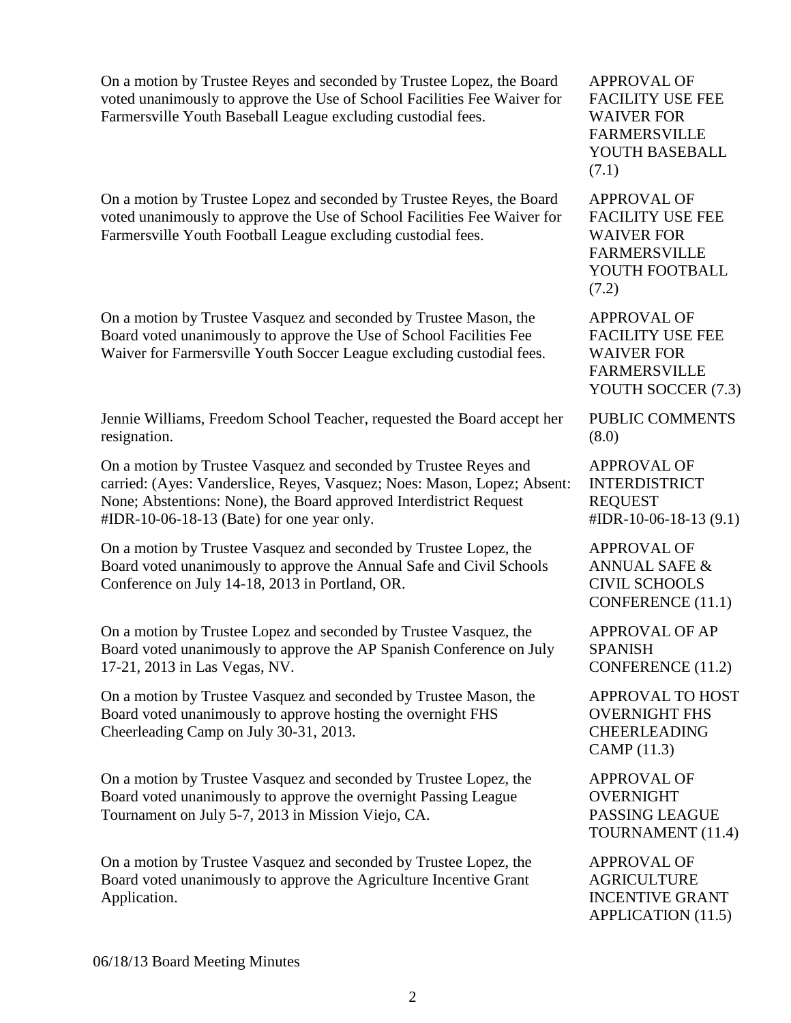On a motion by Trustee Reyes and seconded by Trustee Lopez, the Board voted unanimously to approve the Use of School Facilities Fee Waiver for Farmersville Youth Baseball League excluding custodial fees.

On a motion by Trustee Lopez and seconded by Trustee Reyes, the Board voted unanimously to approve the Use of School Facilities Fee Waiver for Farmersville Youth Football League excluding custodial fees.

On a motion by Trustee Vasquez and seconded by Trustee Mason, the Board voted unanimously to approve the Use of School Facilities Fee Waiver for Farmersville Youth Soccer League excluding custodial fees.

Jennie Williams, Freedom School Teacher, requested the Board accept her resignation.

On a motion by Trustee Vasquez and seconded by Trustee Reyes and carried: (Ayes: Vanderslice, Reyes, Vasquez; Noes: Mason, Lopez; Absent: None; Abstentions: None), the Board approved Interdistrict Request #IDR-10-06-18-13 (Bate) for one year only.

On a motion by Trustee Vasquez and seconded by Trustee Lopez, the Board voted unanimously to approve the Annual Safe and Civil Schools Conference on July 14-18, 2013 in Portland, OR.

On a motion by Trustee Lopez and seconded by Trustee Vasquez, the Board voted unanimously to approve the AP Spanish Conference on July 17-21, 2013 in Las Vegas, NV.

On a motion by Trustee Vasquez and seconded by Trustee Mason, the Board voted unanimously to approve hosting the overnight FHS Cheerleading Camp on July 30-31, 2013.

On a motion by Trustee Vasquez and seconded by Trustee Lopez, the Board voted unanimously to approve the overnight Passing League Tournament on July 5-7, 2013 in Mission Viejo, CA.

On a motion by Trustee Vasquez and seconded by Trustee Lopez, the Board voted unanimously to approve the Agriculture Incentive Grant Application.

APPROVAL OF FACILITY USE FEE WAIVER FOR FARMERSVILLE YOUTH BASEBALL (7.1)

APPROVAL OF FACILITY USE FEE WAIVER FOR FARMERSVILLE YOUTH FOOTBALL (7.2)

APPROVAL OF FACILITY USE FEE WAIVER FOR FARMERSVILLE YOUTH SOCCER (7.3)

PUBLIC COMMENTS (8.0)

APPROVAL OF INTERDISTRICT REQUEST #IDR-10-06-18-13 (9.1)

APPROVAL OF ANNUAL SAFE & CIVIL SCHOOLS CONFERENCE (11.1)

APPROVAL OF AP SPANISH CONFERENCE (11.2)

APPROVAL TO HOST OVERNIGHT FHS CHEERLEADING CAMP (11.3)

APPROVAL OF OVERNIGHT PASSING LEAGUE TOURNAMENT (11.4)

APPROVAL OF **AGRICULTURE** INCENTIVE GRANT APPLICATION (11.5)

06/18/13 Board Meeting Minutes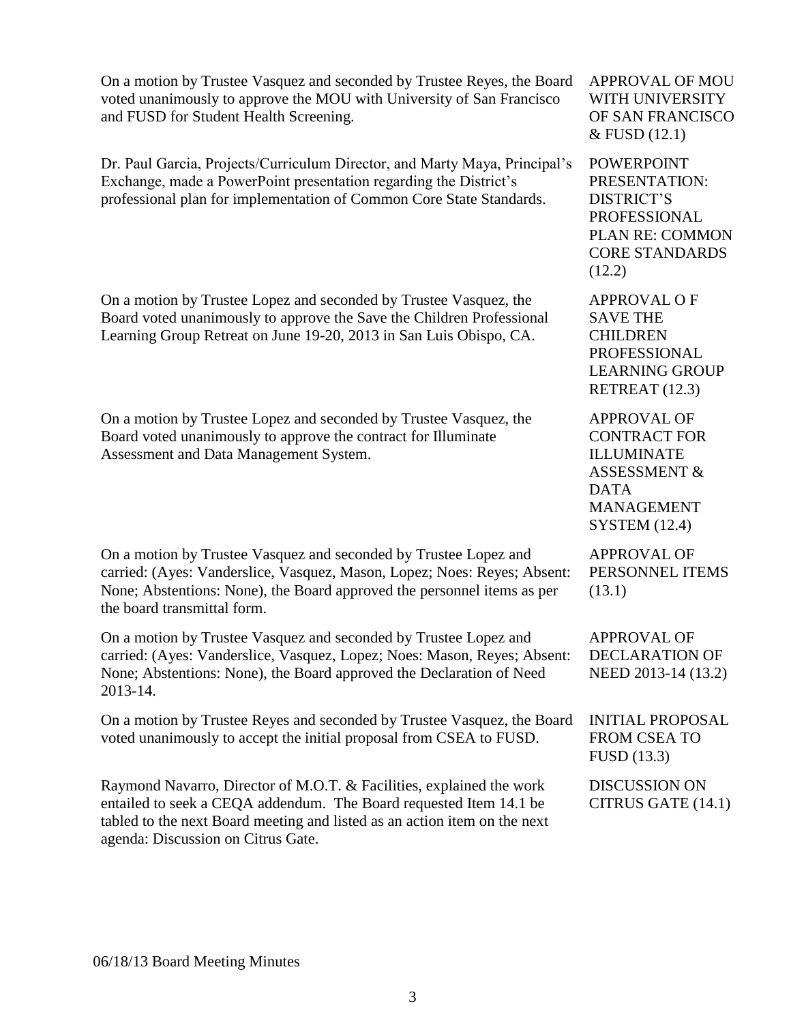| On a motion by Trustee Vasquez and seconded by Trustee Reyes, the Board<br>voted unanimously to approve the MOU with University of San Francisco<br>and FUSD for Student Health Screening.                                                                    | <b>APPROVAL OF MOU</b><br>WITH UNIVERSITY<br>OF SAN FRANCISCO<br>& FUSD (12.1)                                                                        |
|---------------------------------------------------------------------------------------------------------------------------------------------------------------------------------------------------------------------------------------------------------------|-------------------------------------------------------------------------------------------------------------------------------------------------------|
| Dr. Paul Garcia, Projects/Curriculum Director, and Marty Maya, Principal's<br>Exchange, made a PowerPoint presentation regarding the District's<br>professional plan for implementation of Common Core State Standards.                                       | <b>POWERPOINT</b><br>PRESENTATION:<br><b>DISTRICT'S</b><br>PROFESSIONAL<br>PLAN RE: COMMON<br><b>CORE STANDARDS</b><br>(12.2)                         |
| On a motion by Trustee Lopez and seconded by Trustee Vasquez, the<br>Board voted unanimously to approve the Save the Children Professional<br>Learning Group Retreat on June 19-20, 2013 in San Luis Obispo, CA.                                              | <b>APPROVAL OF</b><br><b>SAVE THE</b><br><b>CHILDREN</b><br>PROFESSIONAL<br><b>LEARNING GROUP</b><br>RETREAT (12.3)                                   |
| On a motion by Trustee Lopez and seconded by Trustee Vasquez, the<br>Board voted unanimously to approve the contract for Illuminate<br>Assessment and Data Management System.                                                                                 | <b>APPROVAL OF</b><br><b>CONTRACT FOR</b><br><b>ILLUMINATE</b><br><b>ASSESSMENT &amp;</b><br><b>DATA</b><br><b>MANAGEMENT</b><br><b>SYSTEM</b> (12.4) |
| On a motion by Trustee Vasquez and seconded by Trustee Lopez and<br>carried: (Ayes: Vanderslice, Vasquez, Mason, Lopez; Noes: Reyes; Absent:<br>None; Abstentions: None), the Board approved the personnel items as per<br>the board transmittal form.        | <b>APPROVAL OF</b><br>PERSONNEL ITEMS<br>(13.1)                                                                                                       |
| On a motion by Trustee Vasquez and seconded by Trustee Lopez and<br>carried: (Ayes: Vanderslice, Vasquez, Lopez; Noes: Mason, Reyes; Absent:<br>None; Abstentions: None), the Board approved the Declaration of Need<br>2013-14.                              | <b>APPROVAL OF</b><br><b>DECLARATION OF</b><br>NEED 2013-14 (13.2)                                                                                    |
| On a motion by Trustee Reyes and seconded by Trustee Vasquez, the Board<br>voted unanimously to accept the initial proposal from CSEA to FUSD.                                                                                                                | <b>INITIAL PROPOSAL</b><br>FROM CSEA TO<br>FUSD (13.3)                                                                                                |
| Raymond Navarro, Director of M.O.T. & Facilities, explained the work<br>entailed to seek a CEQA addendum. The Board requested Item 14.1 be<br>tabled to the next Board meeting and listed as an action item on the next<br>agenda: Discussion on Citrus Gate. | <b>DISCUSSION ON</b><br>CITRUS GATE (14.1)                                                                                                            |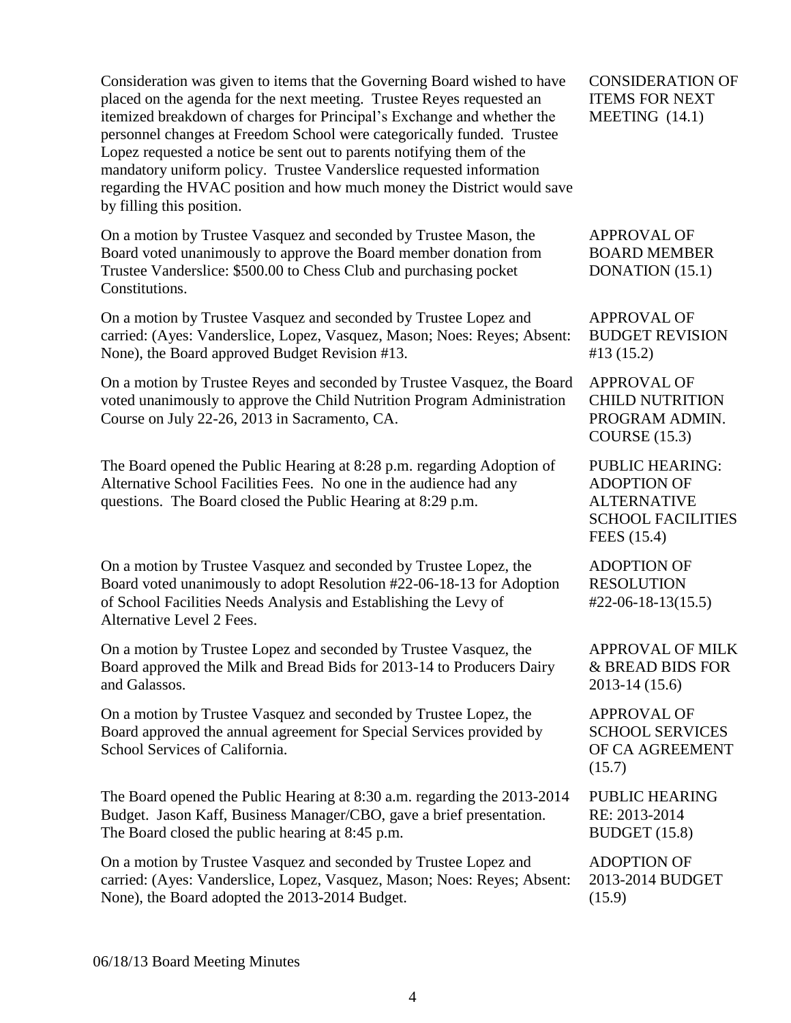Consideration was given to items that the Governing Board wished to have placed on the agenda for the next meeting. Trustee Reyes requested an itemized breakdown of charges for Principal's Exchange and whether the personnel changes at Freedom School were categorically funded. Trustee Lopez requested a notice be sent out to parents notifying them of the mandatory uniform policy. Trustee Vanderslice requested information regarding the HVAC position and how much money the District would save by filling this position.

On a motion by Trustee Vasquez and seconded by Trustee Mason, the Board voted unanimously to approve the Board member donation from Trustee Vanderslice: \$500.00 to Chess Club and purchasing pocket Constitutions.

On a motion by Trustee Vasquez and seconded by Trustee Lopez and carried: (Ayes: Vanderslice, Lopez, Vasquez, Mason; Noes: Reyes; Absent: None), the Board approved Budget Revision #13.

On a motion by Trustee Reyes and seconded by Trustee Vasquez, the Board voted unanimously to approve the Child Nutrition Program Administration Course on July 22-26, 2013 in Sacramento, CA.

The Board opened the Public Hearing at 8:28 p.m. regarding Adoption of Alternative School Facilities Fees. No one in the audience had any questions. The Board closed the Public Hearing at 8:29 p.m.

On a motion by Trustee Vasquez and seconded by Trustee Lopez, the Board voted unanimously to adopt Resolution #22-06-18-13 for Adoption of School Facilities Needs Analysis and Establishing the Levy of Alternative Level 2 Fees.

On a motion by Trustee Lopez and seconded by Trustee Vasquez, the Board approved the Milk and Bread Bids for 2013-14 to Producers Dairy and Galassos.

On a motion by Trustee Vasquez and seconded by Trustee Lopez, the Board approved the annual agreement for Special Services provided by School Services of California.

The Board opened the Public Hearing at 8:30 a.m. regarding the 2013-2014 Budget. Jason Kaff, Business Manager/CBO, gave a brief presentation. The Board closed the public hearing at 8:45 p.m.

On a motion by Trustee Vasquez and seconded by Trustee Lopez and carried: (Ayes: Vanderslice, Lopez, Vasquez, Mason; Noes: Reyes; Absent: None), the Board adopted the 2013-2014 Budget.

CONSIDERATION OF ITEMS FOR NEXT MEETING (14.1)

APPROVAL OF BOARD MEMBER DONATION (15.1)

APPROVAL OF BUDGET REVISION #13 (15.2)

APPROVAL OF CHILD NUTRITION PROGRAM ADMIN. COURSE (15.3)

PUBLIC HEARING: ADOPTION OF ALTERNATIVE SCHOOL FACILITIES FEES (15.4)

ADOPTION OF **RESOLUTION** #22-06-18-13(15.5)

APPROVAL OF MILK & BREAD BIDS FOR 2013-14 (15.6)

APPROVAL OF SCHOOL SERVICES OF CA AGREEMENT (15.7)

PUBLIC HEARING RE: 2013-2014 BUDGET (15.8)

ADOPTION OF 2013-2014 BUDGET (15.9)